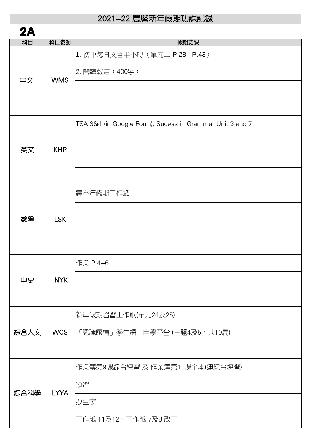| 2A   |             |                                                          |
|------|-------------|----------------------------------------------------------|
| 树目   | 科任老師        | 假期功課                                                     |
| 中文   | <b>WMS</b>  | 1. 初中每日文言半小時 (單元二 P.28 - P.43)                           |
|      |             | 2. 閱讀報告 (400字)                                           |
|      |             |                                                          |
|      |             |                                                          |
| 英文   | <b>KHP</b>  | TSA 3&4 (in Google Form), Sucess in Grammar Unit 3 and 7 |
|      |             |                                                          |
|      |             |                                                          |
|      |             |                                                          |
|      | <b>LSK</b>  | 農曆年假期工作紙                                                 |
|      |             |                                                          |
| 數學   |             |                                                          |
|      |             |                                                          |
|      | NYK         | 作業 P.4-6                                                 |
| 中史   |             |                                                          |
|      |             |                                                          |
| 綜合人文 | <b>WCS</b>  | 新年假期溫習工作紙(單元24及25)                                       |
|      |             | 「認識國情」學生網上自學平台 (主題4及5,共10篇)                              |
|      |             |                                                          |
| 綜合科學 | <b>LYYA</b> | 作業簿第9課綜合練習 及 作業簿第11課全本(連綜合練習)                            |
|      |             | 預習                                                       |
|      |             | 抄生字                                                      |
|      |             | 工作紙 11及12、工作紙 7及8 改正                                     |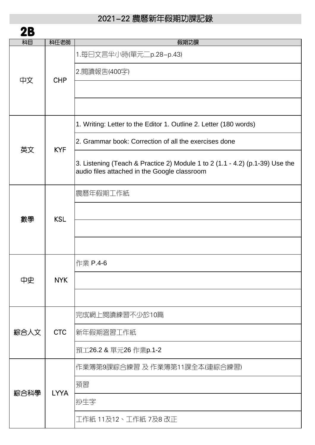| 2Β   |             |                                                                                                                              |
|------|-------------|------------------------------------------------------------------------------------------------------------------------------|
| 科目   | 科任老師        | 假期功課                                                                                                                         |
|      |             | 1.每曰文言半小時(單元二p.28-p.43)                                                                                                      |
|      |             | 2.閱讀報告(400字)                                                                                                                 |
| 中文   | <b>CHP</b>  |                                                                                                                              |
|      |             |                                                                                                                              |
|      |             |                                                                                                                              |
| 英文   | <b>KYF</b>  | 1. Writing: Letter to the Editor 1. Outline 2. Letter (180 words)                                                            |
|      |             | 2. Grammar book: Correction of all the exercises done                                                                        |
|      |             | 3. Listening (Teach & Practice 2) Module 1 to 2 (1.1 - 4.2) (p.1-39) Use the<br>audio files attached in the Google classroom |
|      |             | 農曆年假期工作紙                                                                                                                     |
|      |             |                                                                                                                              |
| 數學   | <b>KSL</b>  |                                                                                                                              |
|      |             |                                                                                                                              |
|      |             |                                                                                                                              |
|      | <b>NYK</b>  | 作業 P.4-6                                                                                                                     |
| 中史   |             |                                                                                                                              |
|      |             |                                                                                                                              |
| 綜合人文 | <b>CTC</b>  | 完成網上閱讀練習不少於10篇                                                                                                               |
|      |             | 新年假期溫習工作紙                                                                                                                    |
|      |             | 預工26.2 & 單元26 作業p.1-2                                                                                                        |
| 綜合科學 | <b>LYYA</b> | 作業簿第9課綜合練習 及 作業簿第11課全本(連綜合練習)                                                                                                |
|      |             | 預習                                                                                                                           |
|      |             | 抄生字                                                                                                                          |
|      |             | 工作紙 11及12、工作紙 7及8 改正                                                                                                         |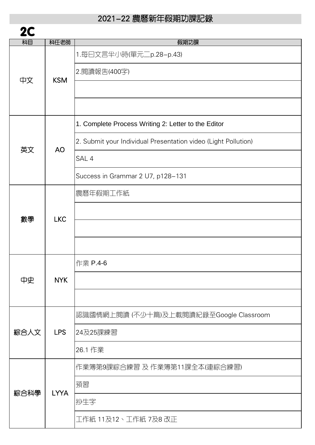| 2C   |             |                                                                |
|------|-------------|----------------------------------------------------------------|
| 树目   | 科任老師        | 假期功課                                                           |
| 中文   | <b>KSM</b>  | 1.每曰文言半小時(單元二p.28-p.43)                                        |
|      |             | 2.閱讀報告(400字)                                                   |
|      |             |                                                                |
|      |             |                                                                |
| 英文   | <b>AO</b>   | 1. Complete Process Writing 2: Letter to the Editor            |
|      |             | 2. Submit your Individual Presentation video (Light Pollution) |
|      |             | SAL 4                                                          |
|      |             | Success in Grammar 2 U7, p128-131                              |
|      |             | 農曆年假期工作紙                                                       |
| 數學   | <b>LKC</b>  |                                                                |
|      |             |                                                                |
|      |             |                                                                |
| 中史   | NYK         | 作業 P.4-6                                                       |
|      |             |                                                                |
|      |             |                                                                |
| 綜合人文 | <b>LPS</b>  | 認識國情網上閱讀(不少十篇)及上載閱讀紀錄至Google Classroom                         |
|      |             | 24及25課練習                                                       |
|      |             | 26.1 作業                                                        |
| 綜合科學 | <b>LYYA</b> | 作業簿第9課綜合練習 及 作業簿第11課全本(連綜合練習)                                  |
|      |             | 預習                                                             |
|      |             | 抄生字                                                            |
|      |             | 工作紙 11及12、工作紙 7及8 改正                                           |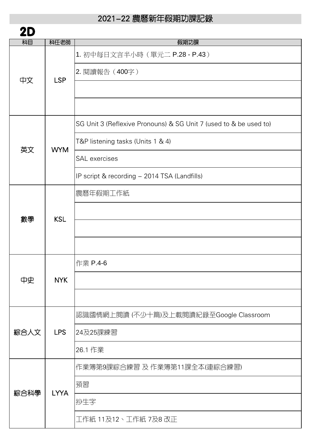| 2Π   |             |                                                                   |
|------|-------------|-------------------------------------------------------------------|
| 树目   | 科任老師        | 假期功課                                                              |
| 中文   | <b>LSP</b>  | 1. 初中每日文言半小時 (單元二 P.28 - P.43)                                    |
|      |             | 2. 閱讀報告 (400字)                                                    |
|      |             |                                                                   |
|      |             |                                                                   |
| 英文   | <b>WYM</b>  | SG Unit 3 (Reflexive Pronouns) & SG Unit 7 (used to & be used to) |
|      |             | T&P listening tasks (Units 1 & 4)                                 |
|      |             | <b>SAL</b> exercises                                              |
|      |             |                                                                   |
|      |             | IP script & recording - 2014 TSA (Landfills)                      |
|      | <b>KSL</b>  | 農曆年假期工作紙                                                          |
|      |             |                                                                   |
| 數學   |             |                                                                   |
|      |             |                                                                   |
|      | NYK         | 作業 P.4-6                                                          |
| 中史   |             |                                                                   |
|      |             |                                                                   |
| 綜合人文 | <b>LPS</b>  | 認識國情網上閱讀(不少十篇)及上載閱讀紀錄至Google Classroom                            |
|      |             | 24及25課練習                                                          |
|      |             | 26.1 作業                                                           |
| 綜合科學 | <b>LYYA</b> | 作業簿第9課綜合練習 及 作業簿第11課全本(連綜合練習)                                     |
|      |             | 預習                                                                |
|      |             | 抄生字                                                               |
|      |             | 工作紙 11及12、工作紙 7及8 改正                                              |